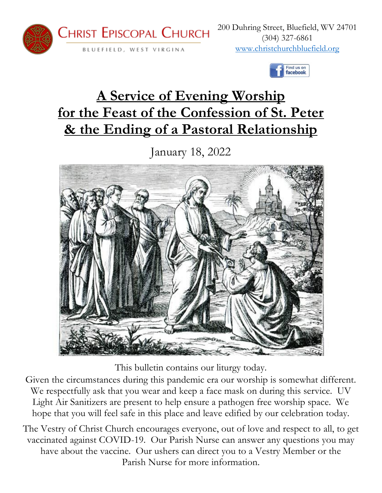



# **A Service of Evening Worship for the Feast of the Confession of St. Peter & the Ending of a Pastoral Relationship**

January 18, 2022



This bulletin contains our liturgy today.

Given the circumstances during this pandemic era our worship is somewhat different. We respectfully ask that you wear and keep a face mask on during this service. UV Light Air Sanitizers are present to help ensure a pathogen free worship space. We hope that you will feel safe in this place and leave edified by our celebration today.

The Vestry of Christ Church encourages everyone, out of love and respect to all, to get vaccinated against COVID-19. Our Parish Nurse can answer any questions you may have about the vaccine. Our ushers can direct you to a Vestry Member or the Parish Nurse for more information.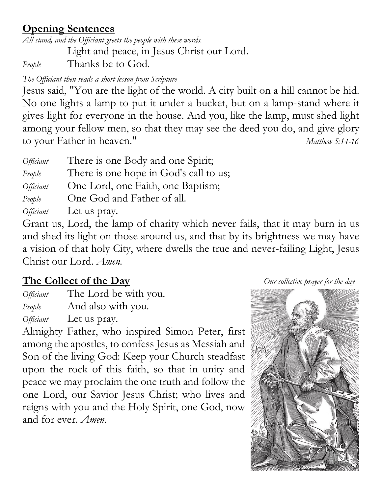### **Opening Sentences**

*All stand, and the Officiant greets the people with these words.*

Light and peace, in Jesus Christ our Lord.

*People* Thanks be to God.

*The Officiant then reads a short lesson from Scripture* 

Jesus said, "You are the light of the world. A city built on a hill cannot be hid. No one lights a lamp to put it under a bucket, but on a lamp-stand where it gives light for everyone in the house. And you, like the lamp, must shed light among your fellow men, so that they may see the deed you do, and give glory to your Father in heaven." *Matthew 5:14-16*

| Officiant | There is one Body and one Spirit;      |
|-----------|----------------------------------------|
| People    | There is one hope in God's call to us; |
| Officiant | One Lord, one Faith, one Baptism;      |
| People    | One God and Father of all.             |
| Officiant | Let us pray.                           |

Grant us, Lord, the lamp of charity which never fails, that it may burn in us and shed its light on those around us, and that by its brightness we may have a vision of that holy City, where dwells the true and never-failing Light, Jesus Christ our Lord. *Amen.*

# **The Collect of the Day** *Our collective prayer for the day*

*Officiant* The Lord be with you.

*People* And also with you.

*Officiant* Let us pray.

Almighty Father, who inspired Simon Peter, first among the apostles, to confess Jesus as Messiah and Son of the living God: Keep your Church steadfast upon the rock of this faith, so that in unity and peace we may proclaim the one truth and follow the one Lord, our Savior Jesus Christ; who lives and reigns with you and the Holy Spirit, one God, now and for ever. *Amen.*

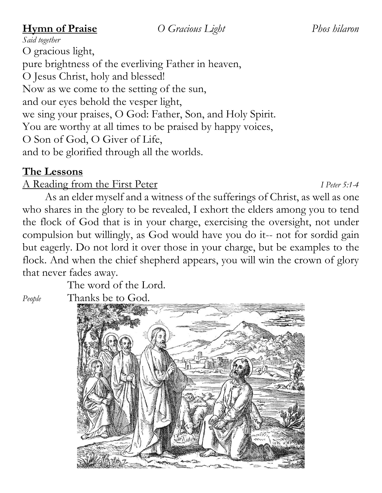### **Hymn of Praise** *O Gracious Light Phos hilaron*

*Said together*

O gracious light, pure brightness of the everliving Father in heaven, O Jesus Christ, holy and blessed! Now as we come to the setting of the sun, and our eyes behold the vesper light, we sing your praises, O God: Father, Son, and Holy Spirit. You are worthy at all times to be praised by happy voices, O Son of God, O Giver of Life, and to be glorified through all the worlds.

### **The Lessons**

### A Reading from the First Peter *I Peter I Peter* 5:1-4

As an elder myself and a witness of the sufferings of Christ, as well as one who shares in the glory to be revealed, I exhort the elders among you to tend the flock of God that is in your charge, exercising the oversight, not under compulsion but willingly, as God would have you do it-- not for sordid gain but eagerly. Do not lord it over those in your charge, but be examples to the flock. And when the chief shepherd appears, you will win the crown of glory that never fades away.

The word of the Lord.

*People* Thanks be to God.

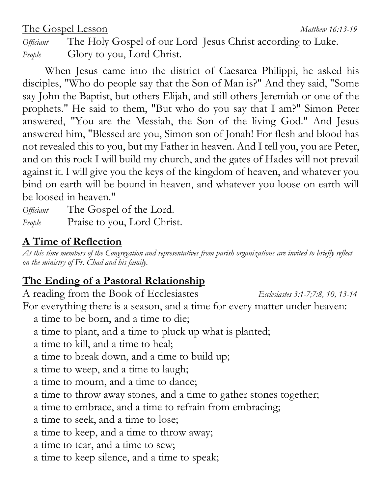### The Gospel Lesson *Matthew 16:13-19*

*Officiant* The Holy Gospel of our Lord Jesus Christ according to Luke. *People* Glory to you, Lord Christ.

When Jesus came into the district of Caesarea Philippi, he asked his disciples, "Who do people say that the Son of Man is?" And they said, "Some say John the Baptist, but others Elijah, and still others Jeremiah or one of the prophets." He said to them, "But who do you say that I am?" Simon Peter answered, "You are the Messiah, the Son of the living God." And Jesus answered him, "Blessed are you, Simon son of Jonah! For flesh and blood has not revealed this to you, but my Father in heaven. And I tell you, you are Peter, and on this rock I will build my church, and the gates of Hades will not prevail against it. I will give you the keys of the kingdom of heaven, and whatever you bind on earth will be bound in heaven, and whatever you loose on earth will be loosed in heaven."

*Officiant* The Gospel of the Lord.

*People* Praise to you, Lord Christ.

# **A Time of Reflection**

*At this time members of the Congregation and representatives from parish organizations are invited to briefly reflect on the ministry of Fr. Chad and his family.* 

# **The Ending of a Pastoral Relationship**

A reading from the Book of Ecclesiastes *Ecclesiastes 3:1-7;7:8, 10, 13-14*

For everything there is a season, and a time for every matter under heaven:

a time to be born, and a time to die;

a time to plant, and a time to pluck up what is planted;

a time to kill, and a time to heal;

a time to break down, and a time to build up;

a time to weep, and a time to laugh;

a time to mourn, and a time to dance;

a time to throw away stones, and a time to gather stones together;

a time to embrace, and a time to refrain from embracing;

a time to seek, and a time to lose;

a time to keep, and a time to throw away;

a time to tear, and a time to sew;

a time to keep silence, and a time to speak;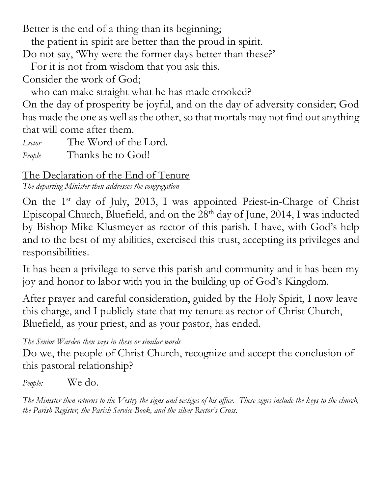Better is the end of a thing than its beginning;

the patient in spirit are better than the proud in spirit.

Do not say, 'Why were the former days better than these?'

 For it is not from wisdom that you ask this. Consider the work of God;

who can make straight what he has made crooked?

On the day of prosperity be joyful, and on the day of adversity consider; God has made the one as well as the other, so that mortals may not find out anything that will come after them.

*Lector* The Word of the Lord. *People* Thanks be to God!

### The Declaration of the End of Tenure

*The departing Minister then addresses the congregation* 

On the 1<sup>st</sup> day of July, 2013, I was appointed Priest-in-Charge of Christ Episcopal Church, Bluefield, and on the 28<sup>th</sup> day of June, 2014, I was inducted by Bishop Mike Klusmeyer as rector of this parish. I have, with God's help and to the best of my abilities, exercised this trust, accepting its privileges and responsibilities.

It has been a privilege to serve this parish and community and it has been my joy and honor to labor with you in the building up of God's Kingdom.

After prayer and careful consideration, guided by the Holy Spirit, I now leave this charge, and I publicly state that my tenure as rector of Christ Church, Bluefield, as your priest, and as your pastor, has ended.

*The Senior Warden then says in these or similar words*

Do we, the people of Christ Church, recognize and accept the conclusion of this pastoral relationship?

*People:* We do.

*The Minister then returns to the Vestry the signs and vestiges of his office. These signs include the keys to the church, the Parish Register, the Parish Service Book, and the silver Rector's Cross.*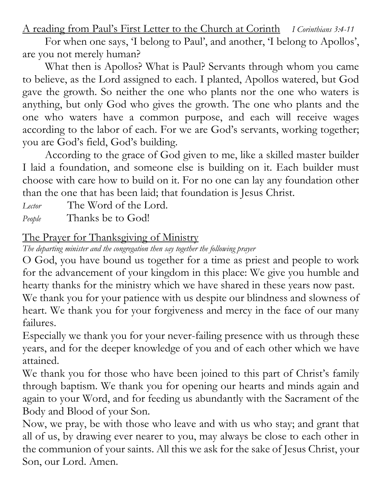A reading from Paul's First Letter to the Church at Corinth *I Corinthians 3:4-11*

For when one says, 'I belong to Paul', and another, 'I belong to Apollos', are you not merely human?

What then is Apollos? What is Paul? Servants through whom you came to believe, as the Lord assigned to each. I planted, Apollos watered, but God gave the growth. So neither the one who plants nor the one who waters is anything, but only God who gives the growth. The one who plants and the one who waters have a common purpose, and each will receive wages according to the labor of each. For we are God's servants, working together; you are God's field, God's building.

According to the grace of God given to me, like a skilled master builder I laid a foundation, and someone else is building on it. Each builder must choose with care how to build on it. For no one can lay any foundation other than the one that has been laid; that foundation is Jesus Christ.

*Lector* The Word of the Lord.

*People* Thanks be to God!

### The Prayer for Thanksgiving of Ministry

*The departing minister and the congregation then say together the following prayer*

O God, you have bound us together for a time as priest and people to work for the advancement of your kingdom in this place: We give you humble and hearty thanks for the ministry which we have shared in these years now past. We thank you for your patience with us despite our blindness and slowness of heart. We thank you for your forgiveness and mercy in the face of our many failures.

Especially we thank you for your never-failing presence with us through these years, and for the deeper knowledge of you and of each other which we have attained.

We thank you for those who have been joined to this part of Christ's family through baptism. We thank you for opening our hearts and minds again and again to your Word, and for feeding us abundantly with the Sacrament of the Body and Blood of your Son.

Now, we pray, be with those who leave and with us who stay; and grant that all of us, by drawing ever nearer to you, may always be close to each other in the communion of your saints. All this we ask for the sake of Jesus Christ, your Son, our Lord. Amen.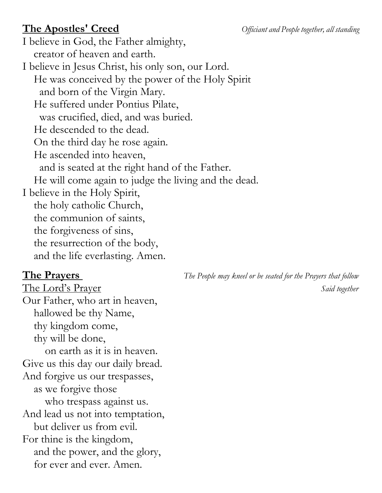**The Apostles' Creed** *Officiant and People together, all standing*

I believe in God, the Father almighty, creator of heaven and earth. I believe in Jesus Christ, his only son, our Lord. He was conceived by the power of the Holy Spirit and born of the Virgin Mary. He suffered under Pontius Pilate, was crucified, died, and was buried. He descended to the dead. On the third day he rose again. He ascended into heaven, and is seated at the right hand of the Father. He will come again to judge the living and the dead. I believe in the Holy Spirit, the holy catholic Church, the communion of saints, the forgiveness of sins, the resurrection of the body, and the life everlasting. Amen.

Our Father, who art in heaven, hallowed be thy Name, thy kingdom come, thy will be done, on earth as it is in heaven. Give us this day our daily bread. And forgive us our trespasses, as we forgive those who trespass against us. And lead us not into temptation, but deliver us from evil. For thine is the kingdom, and the power, and the glory, for ever and ever. Amen.

**The Prayers** *The People may kneel or be seated for the Prayers that follow* The Lord's Prayer *Said together*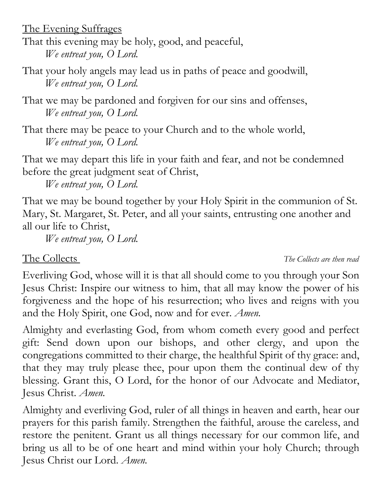The Evening Suffrages

That this evening may be holy, good, and peaceful, *We entreat you, O Lord.*

- That your holy angels may lead us in paths of peace and goodwill, *We entreat you, O Lord.*
- That we may be pardoned and forgiven for our sins and offenses, *We entreat you, O Lord.*
- That there may be peace to your Church and to the whole world, *We entreat you, O Lord.*

That we may depart this life in your faith and fear, and not be condemned before the great judgment seat of Christ,

*We entreat you, O Lord.*

That we may be bound together by your Holy Spirit in the communion of St. Mary, St. Margaret, St. Peter, and all your saints, entrusting one another and all our life to Christ,

*We entreat you, O Lord.*

### The Collects *The Collects are then read*

Everliving God, whose will it is that all should come to you through your Son Jesus Christ: Inspire our witness to him, that all may know the power of his forgiveness and the hope of his resurrection; who lives and reigns with you and the Holy Spirit, one God, now and for ever. *Amen.*

Almighty and everlasting God, from whom cometh every good and perfect gift: Send down upon our bishops, and other clergy, and upon the congregations committed to their charge, the healthful Spirit of thy grace: and, that they may truly please thee, pour upon them the continual dew of thy blessing. Grant this, O Lord, for the honor of our Advocate and Mediator, Jesus Christ. *Amen.*

Almighty and everliving God, ruler of all things in heaven and earth, hear our prayers for this parish family. Strengthen the faithful, arouse the careless, and restore the penitent. Grant us all things necessary for our common life, and bring us all to be of one heart and mind within your holy Church; through Jesus Christ our Lord. *Amen.*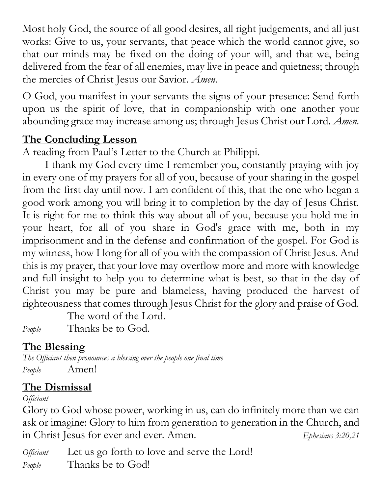Most holy God, the source of all good desires, all right judgements, and all just works: Give to us, your servants, that peace which the world cannot give, so that our minds may be fixed on the doing of your will, and that we, being delivered from the fear of all enemies, may live in peace and quietness; through the mercies of Christ Jesus our Savior. *Amen.*

O God, you manifest in your servants the signs of your presence: Send forth upon us the spirit of love, that in companionship with one another your abounding grace may increase among us; through Jesus Christ our Lord. *Amen.*

# **The Concluding Lesson**

A reading from Paul's Letter to the Church at Philippi.

I thank my God every time I remember you, constantly praying with joy in every one of my prayers for all of you, because of your sharing in the gospel from the first day until now. I am confident of this, that the one who began a good work among you will bring it to completion by the day of Jesus Christ. It is right for me to think this way about all of you, because you hold me in your heart, for all of you share in God's grace with me, both in my imprisonment and in the defense and confirmation of the gospel. For God is my witness, how I long for all of you with the compassion of Christ Jesus. And this is my prayer, that your love may overflow more and more with knowledge and full insight to help you to determine what is best, so that in the day of Christ you may be pure and blameless, having produced the harvest of righteousness that comes through Jesus Christ for the glory and praise of God.

The word of the Lord.

*People* Thanks be to God.

# **The Blessing**

*The Officiant then pronounces a blessing over the people one final time People* Amen!

# **The Dismissal**

*Officiant* 

Glory to God whose power, working in us, can do infinitely more than we can ask or imagine: Glory to him from generation to generation in the Church, and in Christ Jesus for ever and ever. Amen. *Ephesians 3:20,21*

*Officiant* Let us go forth to love and serve the Lord! *People* Thanks be to God!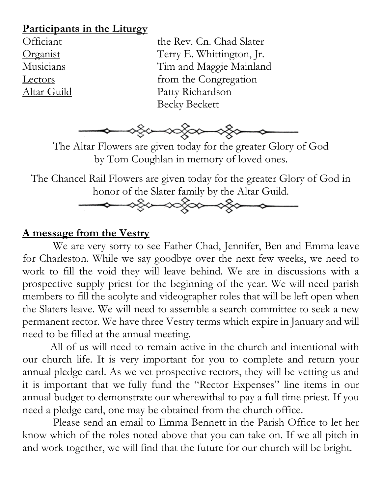### **Participants in the Liturgy**

Officiant the Rev. Cn. Chad Slater Organist Terry E. Whittington, Jr. Musicians Tim and Maggie Mainland Lectors from the Congregation Altar Guild Patty Richardson Becky Beckett



The Altar Flowers are given today for the greater Glory of God by Tom Coughlan in memory of loved ones.

The Chancel Rail Flowers are given today for the greater Glory of God in honor of the Slater family by the Altar Guild.



### **A message from the Vestry**

 We are very sorry to see Father Chad, Jennifer, Ben and Emma leave for Charleston. While we say goodbye over the next few weeks, we need to work to fill the void they will leave behind. We are in discussions with a prospective supply priest for the beginning of the year. We will need parish members to fill the acolyte and videographer roles that will be left open when the Slaters leave. We will need to assemble a search committee to seek a new permanent rector. We have three Vestry terms which expire in January and will need to be filled at the annual meeting.

All of us will need to remain active in the church and intentional with our church life. It is very important for you to complete and return your annual pledge card. As we vet prospective rectors, they will be vetting us and it is important that we fully fund the "Rector Expenses" line items in our annual budget to demonstrate our wherewithal to pay a full time priest. If you need a pledge card, one may be obtained from the church office.

Please send an email to Emma Bennett in the Parish Office to let her know which of the roles noted above that you can take on. If we all pitch in and work together, we will find that the future for our church will be bright.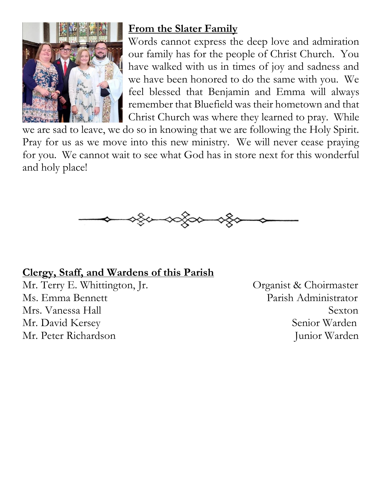

### **From the Slater Family**

Words cannot express the deep love and admiration our family has for the people of Christ Church. You have walked with us in times of joy and sadness and we have been honored to do the same with you. We feel blessed that Benjamin and Emma will always remember that Bluefield was their hometown and that Christ Church was where they learned to pray. While

we are sad to leave, we do so in knowing that we are following the Holy Spirit. Pray for us as we move into this new ministry. We will never cease praying for you. We cannot wait to see what God has in store next for this wonderful and holy place!



### **Clergy, Staff, and Wardens of this Parish**

Mr. Terry E. Whittington, Jr. Crganist & Choirmaster Ms. Emma Bennett Parish Administrator Mrs. Vanessa Hall Sexton Mr. David Kersey Senior Warden Mr. Peter Richardson Junior Warden